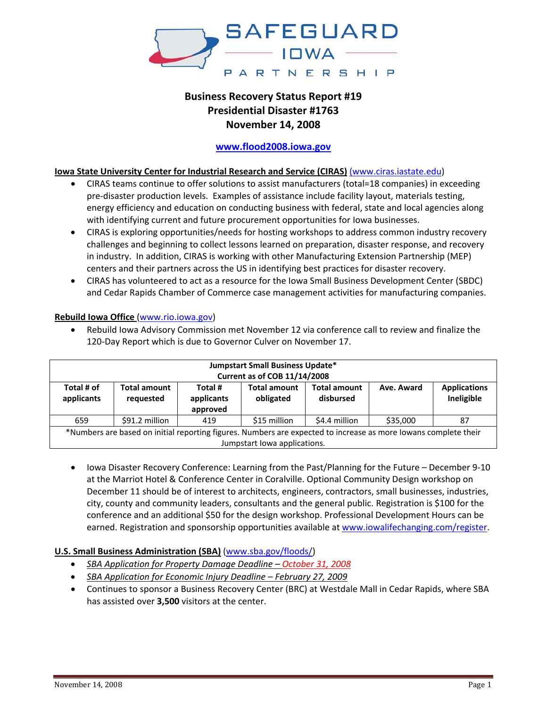

# **Business Recovery Status Report #19 Presidential Disaster #1763 November 14, 2008**

# **www.flood2008.iowa.gov**

## **Iowa State University Center for Industrial Research and Service (CIRAS)** (www.ciras.iastate.edu)

- CIRAS teams continue to offer solutions to assist manufacturers (total=18 companies) in exceeding pre‐disaster production levels. Examples of assistance include facility layout, materials testing, energy efficiency and education on conducting business with federal, state and local agencies along with identifying current and future procurement opportunities for Iowa businesses.
- CIRAS is exploring opportunities/needs for hosting workshops to address common industry recovery challenges and beginning to collect lessons learned on preparation, disaster response, and recovery in industry. In addition, CIRAS is working with other Manufacturing Extension Partnership (MEP) centers and their partners across the US in identifying best practices for disaster recovery.
- CIRAS has volunteered to act as a resource for the Iowa Small Business Development Center (SBDC) and Cedar Rapids Chamber of Commerce case management activities for manufacturing companies.

• Rebuild Iowa Advisory Commission met November 12 via conference call to review and finalize the

| <b>Jumpstart Small Business Update*</b><br><b>Current as of COB 11/14/2008</b>                                                                  |                                  |                                   |                                  |                                  |            |                                   |  |
|-------------------------------------------------------------------------------------------------------------------------------------------------|----------------------------------|-----------------------------------|----------------------------------|----------------------------------|------------|-----------------------------------|--|
| Total # of<br>applicants                                                                                                                        | <b>Total amount</b><br>requested | Total #<br>applicants<br>approved | <b>Total amount</b><br>obligated | <b>Total amount</b><br>disbursed | Ave. Award | <b>Applications</b><br>Ineligible |  |
| 659                                                                                                                                             | \$91.2 million                   | 419                               | \$15 million                     | \$4.4 million                    | \$35,000   | 87                                |  |
| *Numbers are based on initial reporting figures. Numbers are expected to increase as more lowans complete their<br>Jumpstart lowa applications. |                                  |                                   |                                  |                                  |            |                                   |  |

## **Rebuild Iowa Office** (www.rio.iowa.gov)

• Iowa Disaster Recovery Conference: Learning from the Past/Planning for the Future – December 9‐10 at the Marriot Hotel & Conference Center in Coralville. Optional Community Design workshop on December 11 should be of interest to architects, engineers, contractors, small businesses, industries, city, county and community leaders, consultants and the general public. Registration is \$100 for the conference and an additional \$50 for the design workshop. Professional Development Hours can be earned. Registration and sponsorship opportunities available at www.iowalifechanging.com/register.

## **U.S. Small Business Administration (SBA)** (www.sba.gov/floods/)

• *SBA Application for Property Damage Deadline – October 31, 2008*

120-Day Report which is due to Governor Culver on November 17.

- *SBA Application for Economic Injury Deadline – February 27, 2009*
- Continues to sponsor a Business Recovery Center (BRC) at Westdale Mall in Cedar Rapids, where SBA has assisted over **3,500** visitors at the center.